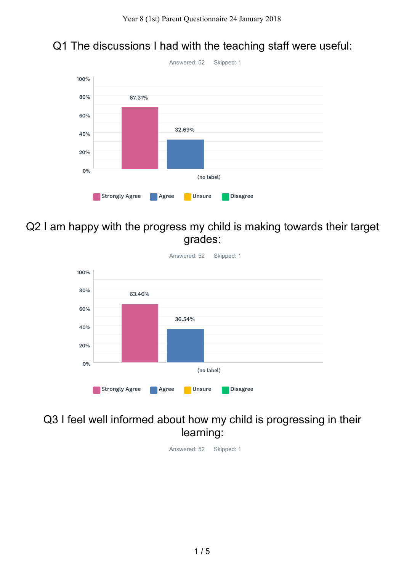## Q1 The discussions I had with the teaching staff were useful:



Q2 I am happy with the progress my child is making towards their target grades:



### Q3 I feel well informed about how my child is progressing in their learning:

Answered: 52 Skipped: 1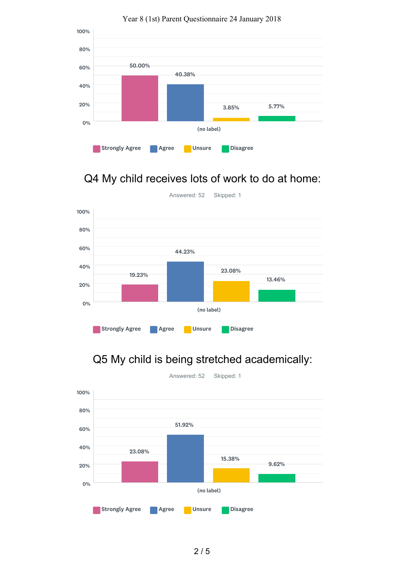

#### Year 8 (1st) Parent Questionnaire 24 January 2018

# Q4 My child receives lots of work to do at home:



## Q5 My child is being stretched academically:



2 / 5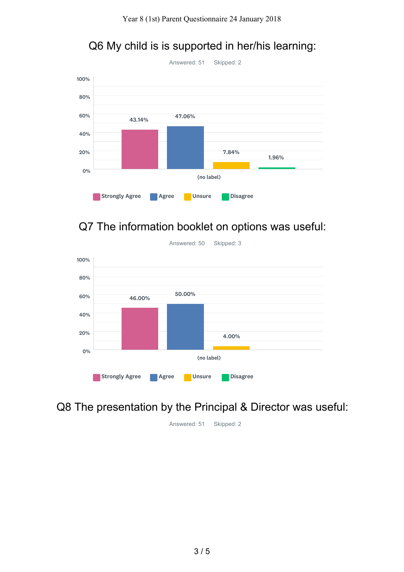## Q6 My child is is supported in her/his learning:



## Q7 The information booklet on options was useful:



Answered: 50 Skipped: 3

## Q8 The presentation by the Principal & Director was useful:

Answered: 51 Skipped: 2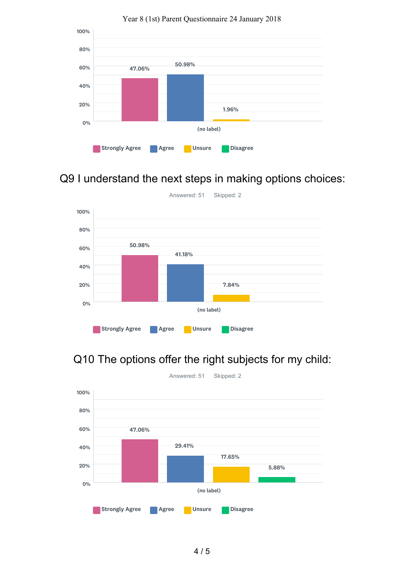

#### Year 8 (1st) Parent Questionnaire 24 January 2018

## Q9 I understand the next steps in making options choices:



## Q10 The options offer the right subjects for my child: